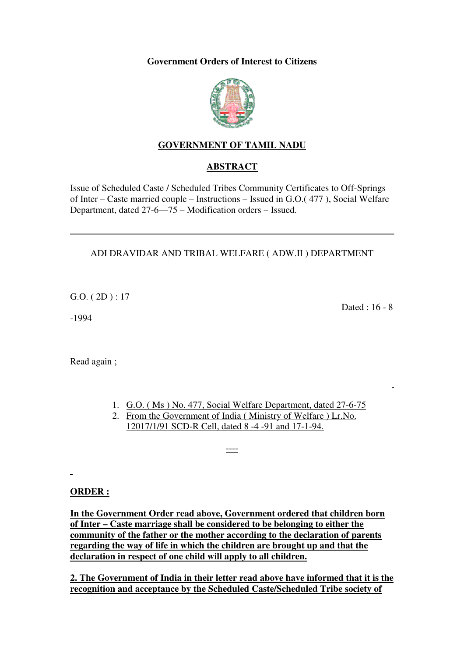#### **Government Orders of Interest to Citizens**



## **GOVERNMENT OF TAMIL NADU**

## **ABSTRACT**

Issue of Scheduled Caste / Scheduled Tribes Community Certificates to Off-Springs of Inter – Caste married couple – Instructions – Issued in G.O.( 477 ), Social Welfare Department, dated 27-6—75 – Modification orders – Issued.

## ADI DRAVIDAR AND TRIBAL WELFARE ( ADW.II ) DEPARTMENT

 $G.O. (2D): 17$ 

-1994

Dated : 16 - 8

Read again ;

- 1. G.O. ( Ms ) No. 477, Social Welfare Department, dated 27-6-75
- 2. From the Government of India ( Ministry of Welfare ) Lr.No. 12017/1/91 SCD-R Cell, dated 8 -4 -91 and 17-1-94.

----

#### **ORDER :**

**In the Government Order read above, Government ordered that children born of Inter – Caste marriage shall be considered to be belonging to either the community of the father or the mother according to the declaration of parents regarding the way of life in which the children are brought up and that the declaration in respect of one child will apply to all children.**

**2. The Government of India in their letter read above have informed that it is the recognition and acceptance by the Scheduled Caste/Scheduled Tribe society of**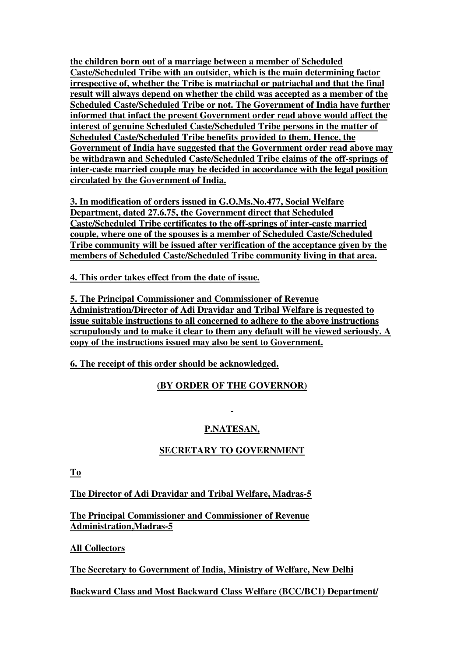**the children born out of a marriage between a member of Scheduled Caste/Scheduled Tribe with an outsider, which is the main determining factor irrespective of, whether the Tribe is matriachal or patriachal and that the final result will always depend on whether the child was accepted as a member of the Scheduled Caste/Scheduled Tribe or not. The Government of India have further informed that infact the present Government order read above would affect the interest of genuine Scheduled Caste/Scheduled Tribe persons in the matter of Scheduled Caste/Scheduled Tribe benefits provided to them. Hence, the Government of India have suggested that the Government order read above may be withdrawn and Scheduled Caste/Scheduled Tribe claims of the off-springs of inter-caste married couple may be decided in accordance with the legal position circulated by the Government of India.**

**3. In modification of orders issued in G.O.Ms.No.477, Social Welfare Department, dated 27.6.75, the Government direct that Scheduled Caste/Scheduled Tribe certificates to the off-springs of inter-caste married couple, where one of the spouses is a member of Scheduled Caste/Scheduled Tribe community will be issued after verification of the acceptance given by the members of Scheduled Caste/Scheduled Tribe community living in that area.**

**4. This order takes effect from the date of issue.**

**5. The Principal Commissioner and Commissioner of Revenue Administration/Director of Adi Dravidar and Tribal Welfare is requested to issue suitable instructions to all concerned to adhere to the above instructions scrupulously and to make it clear to them any default will be viewed seriously. A copy of the instructions issued may also be sent to Government.**

**6. The receipt of this order should be acknowledged.**

## **(BY ORDER OF THE GOVERNOR)**

# **P.NATESAN,**

## **SECRETARY TO GOVERNMENT**

**To**

**The Director of Adi Dravidar and Tribal Welfare, Madras-5**

**The Principal Commissioner and Commissioner of Revenue Administration,Madras-5**

**All Collectors**

**The Secretary to Government of India, Ministry of Welfare, New Delhi**

**Backward Class and Most Backward Class Welfare (BCC/BC1) Department/**